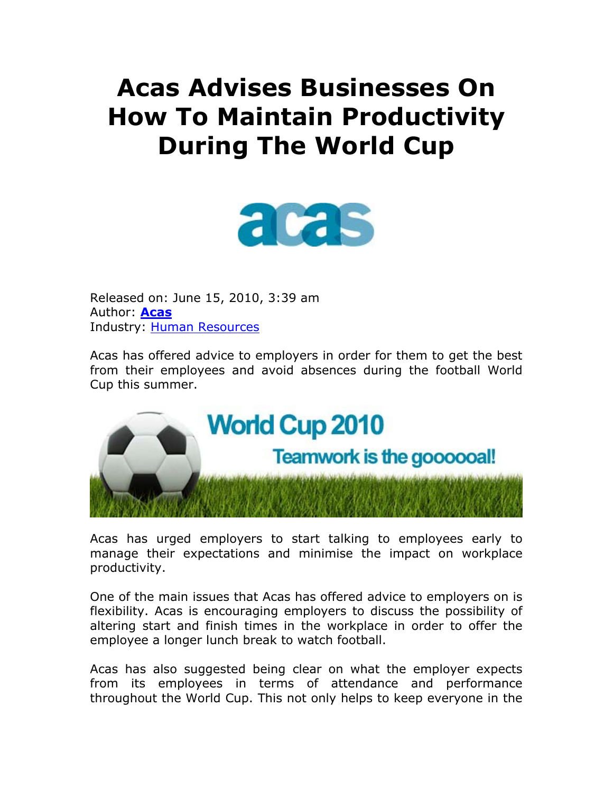# **Acas Advises Businesses On How To Maintain Productivity During The World Cup**



Released on: June 15, 2010, 3:39 am Author: **Acas** Industry: Human Resources

Acas has offered advice to employers in order for them to get the best from their employees and avoid absences during the football World Cup this summer.



Acas has urged employers to start talking to employees early to manage their expectations and minimise the impact on workplace productivity.

One of the main issues that Acas has offered advice to employers on is flexibility. Acas is encouraging employers to discuss the possibility of altering start and finish times in the workplace in order to offer the employee a longer lunch break to watch football.

Acas has also suggested being clear on what the employer expects from its employees in terms of attendance and performance throughout the World Cup. This not only helps to keep everyone in the